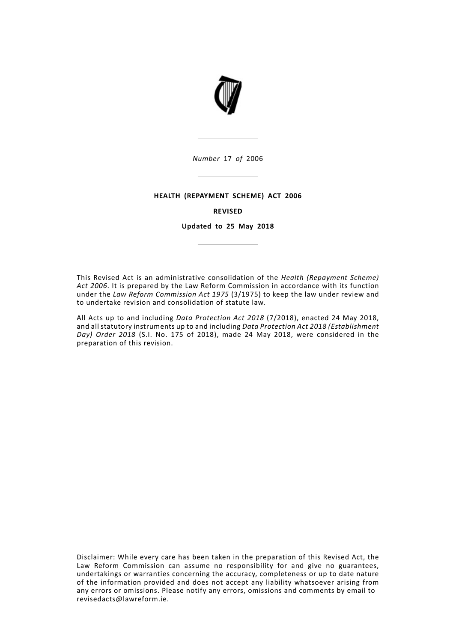

*Number* 17 *of* 2006

### **HEALTH (REPAYMENT SCHEME) ACT 2006**

#### **REVISED**

**Updated to 25 May 2018**

This Revised Act is an administrative consolidation of the *Health (Repayment Scheme) Act 2006*. It is prepared by the Law Reform Commission in accordance with its function under the *Law Reform Commission Act 1975* (3/1975) to keep the law under review and to undertake revision and consolidation of statute law.

All Acts up to and including *Data Protection Act 2018* (7/2018), enacted 24 May 2018, and all statutory instruments up to and including *Data Protection Act 2018 (Establishment Day) Order 2018* (S.I. No. 175 of 2018), made 24 May 2018, were considered in the preparation of this revision.

Disclaimer: While every care has been taken in the preparation of this Revised Act, the Law Reform Commission can assume no responsibility for and give no guarantees, undertakings or warranties concerning the accuracy, completeness or up to date nature of the information provided and does not accept any liability whatsoever arising from any errors or omissions. Please notify any errors, omissions and comments by email to revisedacts@lawreform.ie.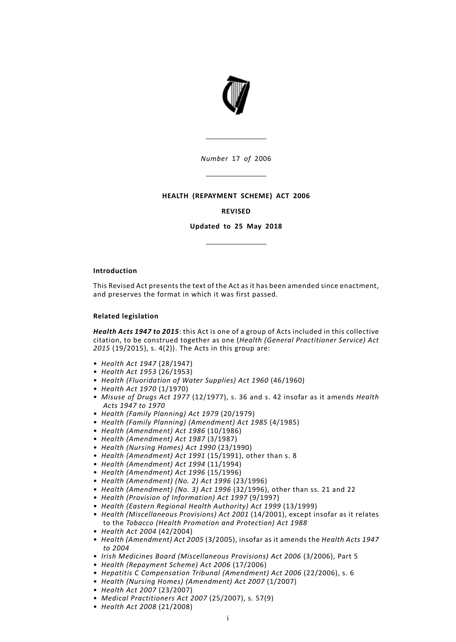

*Number* 17 *of* 2006

### **HEALTH (REPAYMENT SCHEME) ACT 2006**

### **REVISED**

**Updated to 25 May 2018**

#### **Introduction**

This Revised Act presents the text of the Act as it has been amended since enactment, and preserves the format in which it was first passed.

#### **Related legislation**

*Health Acts 1947 to 2015*: this Act is one of a group of Acts included in this collective citation, to be construed together as one (*Health (General Practitioner Service) Act 2015* (19/2015), s. 4(2)). The Acts in this group are:

- *Health Act 1947* (28/1947)
- *Health Act 1953* (26/1953)
- *Health (Fluoridation of Water Supplies) Act 1960* (46/1960)
- *Health Act 1970* (1/1970)
- *Misuse of Drugs Act 1977* (12/1977), s. 36 and s. 42 insofar as it amends *Health Acts 1947 to 1970*
- *Health (Family Planning) Act 1979* (20/1979)
- *Health (Family Planning) (Amendment) Act 1985* (4/1985)
- *Health (Amendment) Act 1986* (10/1986)
- *Health (Amendment) Act 1987* (3/1987)
- *Health (Nursing Homes) Act 1990* (23/1990)
- *Health (Amendment) Act 1991* (15/1991), other than s. 8
- *Health (Amendment) Act 1994* (11/1994)
- *Health (Amendment) Act 1996* (15/1996)
- *Health (Amendment) (No. 2) Act 1996* (23/1996)
- *Health (Amendment) (No. 3) Act 1996* (32/1996), other than ss. 21 and 22
- *Health (Provision of Information) Act 1997* (9/1997)
- *Health (Eastern Regional Health Authority) Act 1999* (13/1999)
- *Health (Miscellaneous Provisions) Act 2001* (14/2001), except insofar as it relates to the *Tobacco (Health Promotion and Protection) Act 1988*
- *Health Act 2004* (42/2004)
- *Health (Amendment) Act 2005* (3/2005), insofar as it amends the *Health Acts 1947 to 2004*
- *Irish Medicines Board (Miscellaneous Provisions) Act 2006* (3/2006), Part 5
- *Health (Repayment Scheme) Act 2006* (17/2006)
- *Hepatitis C Compensation Tribunal (Amendment) Act 2006* (22/2006), s. 6
- *Health (Nursing Homes) (Amendment) Act 2007* (1/2007)
- *Health Act 2007* (23/2007)
- *Medical Practitioners Act 2007* (25/2007), s. 57(9)
- *Health Act 2008* (21/2008)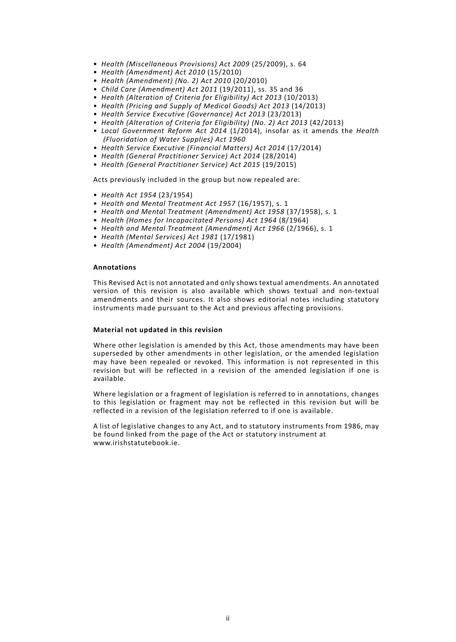- *Health (Miscellaneous Provisions) Act 2009* (25/2009), s. 64
- *Health (Amendment) Act 2010* (15/2010)
- *Health (Amendment) (No. 2) Act 2010* (20/2010)
- *Child Care (Amendment) Act 2011* (19/2011), ss. 35 and 36
- *Health (Alteration of Criteria for Eligibility) Act 2013* (10/2013)
- *Health (Pricing and Supply of Medical Goods) Act 2013* (14/2013)
- *Health Service Executive (Governance) Act 2013* (23/2013)
- *Health (Alteration of Criteria for Eligibility) (No. 2) Act 2013* (42/2013)
- *Local Government Reform Act 2014* (1/2014), insofar as it amends the *Health (Fluoridation of Water Supplies) Act 1960*
- *Health Service Executive (Financial Matters) Act 2014* (17/2014)
- *Health (General Practitioner Service) Act 2014* (28/2014)
- *Health (General Practitioner Service) Act 2015* (19/2015)

Acts previously included in the group but now repealed are:

- *Health Act 1954* (23/1954)
- *Health and Mental Treatment Act 1957* (16/1957), s. 1
- *Health and Mental Treatment (Amendment) Act 1958* (37/1958), s. 1
- *Health (Homes for Incapacitated Persons) Act 1964* (8/1964)
- *Health and Mental Treatment (Amendment) Act 1966* (2/1966), s. 1
- *Health (Mental Services) Act 1981* (17/1981)
- *Health (Amendment) Act 2004* (19/2004)

### **Annotations**

This Revised Act is not annotated and only shows textual amendments. An annotated version of this revision is also available which shows textual and non-textual amendments and their sources. It also shows editorial notes including statutory instruments made pursuant to the Act and previous affecting provisions.

### **Material not updated in this revision**

Where other legislation is amended by this Act, those amendments may have been superseded by other amendments in other legislation, or the amended legislation may have been repealed or revoked. This information is not represented in this revision but will be reflected in a revision of the amended legislation if one is available.

Where legislation or a fragment of legislation is referred to in annotations, changes to this legislation or fragment may not be reflected in this revision but will be reflected in a revision of the legislation referred to if one is available.

A list of legislative changes to any Act, and to statutory instruments from 1986, may be found linked from the page of the Act or statutory instrument at www.irishstatutebook.ie.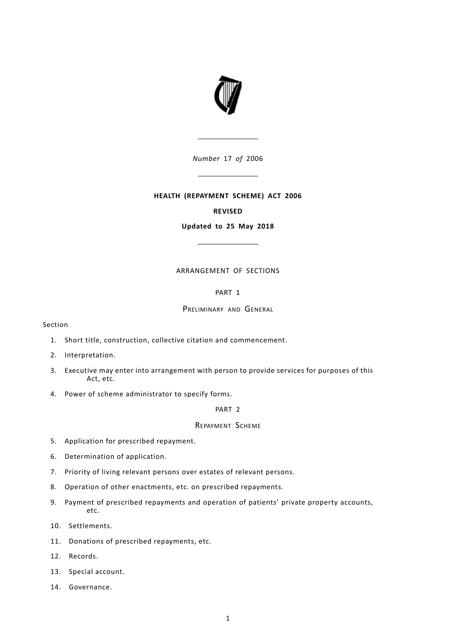

*Number* 17 *of* 2006

### **HEALTH (REPAYMENT SCHEME) ACT 2006**

### **REVISED**

**Updated to 25 May 2018**

## ARRANGEMENT OF SECTIONS

### [PART](#page-6-0) 1

### PRELIMINARY AND GENERAL

Section

- 1. Short title, construction, collective citation and [commencement.](#page-6-1)
- 2. [Interpretation.](#page-6-2)
- 3. Executive may enter into [arrangement](#page-9-0) with person to provide services for purposes of this [Act,](#page-9-0) etc.
- 4. Power of scheme [administrator](#page-9-1) to specify forms.

[PART](#page-10-0) 2

### REPAYMENT SCHEME

- 5. Application for prescribed [repayment.](#page-10-1)
- 6. [Determination](#page-10-2) of application.
- 7. Priority of living relevant persons over estates of relevant [persons.](#page-11-0)
- 8. Operation of other enactments, etc. on prescribed [repayments.](#page-11-1)
- 9. Payment of prescribed [repayments](#page-12-0) and operation of patients' private property accounts, [etc.](#page-12-0)
- 10. [Settlements.](#page-14-0)
- 11. Donations of prescribed [repayments,](#page-15-0) etc.
- 12. [Records.](#page-16-0)
- 13. Special [account.](#page-17-0)
- 14. [Governance.](#page-18-0)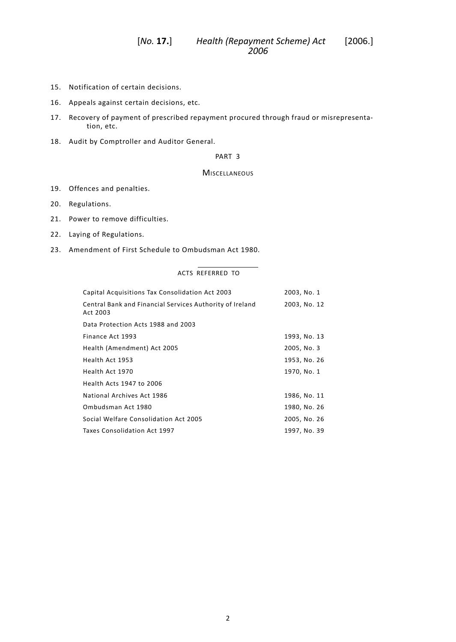- 15. [Notification](#page-19-0) of certain decisions.
- 16. Appeals against certain [decisions,](#page-19-1) etc.
- 17. Recovery of payment of prescribed repayment procured through fraud or [misrepresenta](#page-21-0)[tion,](#page-21-0) etc.
- 18. Audit by [Comptroller](#page-21-1) and Auditor General.

### [PART](#page-22-0) 3

## **MISCELLANEOUS**

- 19. Offences and [penalties.](#page-22-1)
- 20. [Regulations.](#page-22-2)
- 21. Power to remove [difficulties.](#page-23-0)
- 22. Laying of [Regulations.](#page-23-1)
- 23. Amendment of First Schedule to [Ombudsman](#page-23-2) Act 1980.

### ACTS REFERRED TO

| Capital Acquisitions Tax Consolidation Act 2003                      | 2003, No. 1  |
|----------------------------------------------------------------------|--------------|
| Central Bank and Financial Services Authority of Ireland<br>Act 2003 | 2003, No. 12 |
| Data Protection Acts 1988 and 2003                                   |              |
| Finance Act 1993                                                     | 1993, No. 13 |
| Health (Amendment) Act 2005                                          | 2005, No. 3  |
| Health Act 1953                                                      | 1953, No. 26 |
| Health Act 1970                                                      | 1970, No. 1  |
| Health Acts 1947 to 2006                                             |              |
| National Archives Act 1986                                           | 1986, No. 11 |
| Ombudsman Act 1980                                                   | 1980, No. 26 |
| Social Welfare Consolidation Act 2005                                | 2005, No. 26 |
| Taxes Consolidation Act 1997                                         | 1997, No. 39 |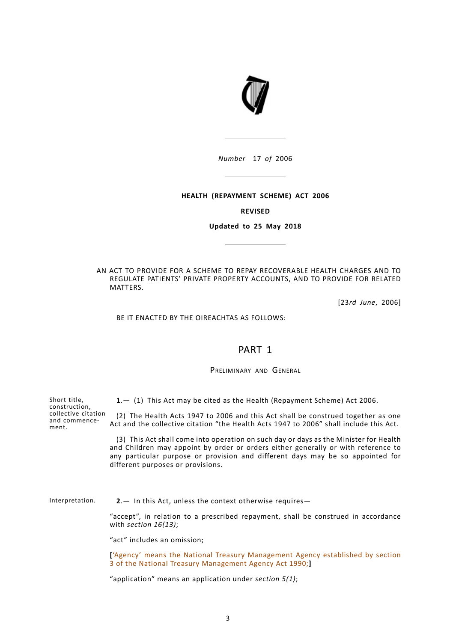

*Number* 17 *of* 2006

### **HEALTH (REPAYMENT SCHEME) ACT 2006**

### **REVISED**

#### **Updated to 25 May 2018**

AN ACT TO PROVIDE FOR A SCHEME TO REPAY RECOVERABLE HEALTH CHARGES AND TO REGULATE PATIENTS' PRIVATE PROPERTY ACCOUNTS, AND TO PROVIDE FOR RELATED MATTERS.

[23*rd June*, 2006]

<span id="page-6-1"></span><span id="page-6-0"></span>BE IT ENACTED BY THE OIREACHTAS AS FOLLOWS:

# PART 1

### PRELIMINARY AND GENERAL

**1**.— (1) This Act may be cited as the Health (Repayment Scheme) Act 2006.

(2) The Health Acts 1947 to 2006 and this Act shall be construed together as one Act and the collective citation "the Health Acts 1947 to 2006" shall include this Act.

<span id="page-6-2"></span>(3) This Act shall come into operation on such day or days as the Minister for Health and Children may appoint by order or orders either generally or with reference to any particular purpose or provision and different days may be so appointed for different purposes or provisions.

Short title, construction, collective citation and commence-

ment.

Interpretation. **2**.— In this Act, unless the context otherwise requires—

"accept", in relation to a prescribed repayment, shall be construed in accordance with *section [16\(](#page-19-1)13)*;

"act" includes an omission;

**[**'Agency' means the National Treasury Management Agency established by section 3 of the National Treasury Management Agency Act 1990;**]**

"application" means an application under *section [5](#page-10-1)(1)*;

3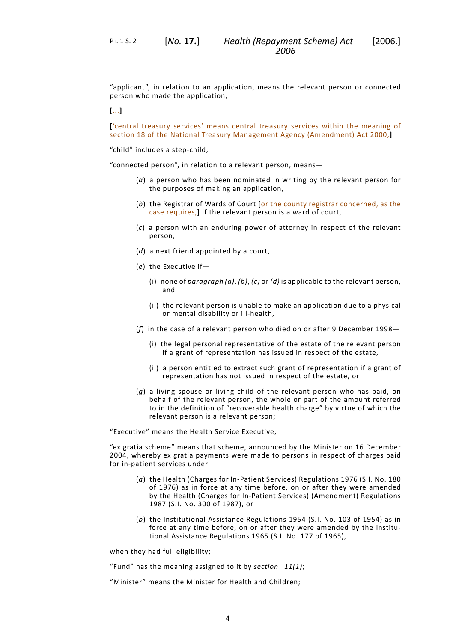"applicant", in relation to an application, means the relevant person or connected person who made the application;

**[**...**]**

**[**'central treasury services' means central treasury services within the meaning of section 18 of the National Treasury Management Agency (Amendment) Act 2000;**]**

"child" includes a step-child;

"connected person", in relation to a relevant person, means—

- (*a*) a person who has been nominated in writing by the relevant person for the purposes of making an application,
- (*b*) the Registrar of Wards of Court **[**or the county registrar concerned, as the case requires,**]** if the relevant person is a ward of court,
- (*c*) a person with an enduring power of attorney in respect of the relevant person,
- (*d*) a next friend appointed by a court,
- (*e*) the Executive if—
	- (i) none of *paragraph (a)*, *(b)*, *(c)* or *(d)* is applicable to the relevant person, and
	- (ii) the relevant person is unable to make an application due to a physical or mental disability or ill-health,
- (*f*) in the case of a relevant person who died on or after 9 December 1998—
	- (i) the legal personal representative of the estate of the relevant person if a grant of representation has issued in respect of the estate,
	- (ii) a person entitled to extract such grant of representation if a grant of representation has not issued in respect of the estate, or
- (*g*) a living spouse or living child of the relevant person who has paid, on behalf of the relevant person, the whole or part of the amount referred to in the definition of "recoverable health charge" by virtue of which the relevant person is a relevant person;

"Executive" means the Health Service Executive;

"ex gratia scheme" means that scheme, announced by the Minister on 16 December 2004, whereby ex gratia payments were made to persons in respect of charges paid for in-patient services under—

- (*a*) the Health (Charges for In-Patient Services) Regulations 1976 (S.I. No. 180 of 1976) as in force at any time before, on or after they were amended by the Health (Charges for In-Patient Services) (Amendment) Regulations 1987 (S.I. No. 300 of 1987), or
- (*b*) the Institutional Assistance Regulations 1954 (S.I. No. 103 of 1954) as in force at any time before, on or after they were amended by the Institutional Assistance Regulations 1965 (S.I. No. 177 of 1965),

when they had full eligibility;

"Fund" has the meaning assigned to it by *section [11](#page-15-0)(1)*;

"Minister" means the Minister for Health and Children;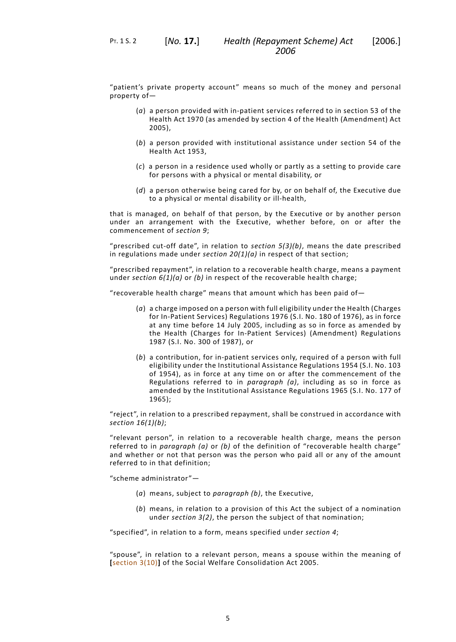- (*a*) a person provided with in-patient services referred to in section 53 of the Health Act 1970 (as amended by section 4 of the Health (Amendment) Act 2005),
- (*b*) a person provided with institutional assistance under section 54 of the Health Act 1953,
- (*c*) a person in a residence used wholly or partly as a setting to provide care for persons with a physical or mental disability, or
- (*d*) a person otherwise being cared for by, or on behalf of, the Executive due to a physical or mental disability or ill-health,

that is managed, on behalf of that person, by the Executive or by another person under an arrangement with the Executive, whether before, on or after the commencement of *section [9](#page-12-0)*;

"prescribed cut-off date", in relation to *section [5\(](#page-10-1)3)(b)*, means the date prescribed in regulations made under *section [20](#page-22-2)(1)(a)* in respect of that section;

"prescribed repayment", in relation to a recoverable health charge, means a payment under *section [6](#page-10-2)(1)(a)* or *(b)* in respect of the recoverable health charge;

"recoverable health charge" means that amount which has been paid of-

- (*a*) a charge imposed on a person with full eligibility under the Health (Charges for In-Patient Services) Regulations 1976 (S.I. No. 180 of 1976), as in force at any time before 14 July 2005, including as so in force as amended by the Health (Charges for In-Patient Services) (Amendment) Regulations 1987 (S.I. No. 300 of 1987), or
- (*b*) a contribution, for in-patient services only, required of a person with full eligibility under the Institutional Assistance Regulations 1954 (S.I. No. 103 of 1954), as in force at any time on or after the commencement of the Regulations referred to in *paragraph (a)*, including as so in force as amended by the Institutional Assistance Regulations 1965 (S.I. No. 177 of 1965);

"reject", in relation to a prescribed repayment, shall be construed in accordance with *section [16](#page-19-1)(1)(b)*;

"relevant person", in relation to a recoverable health charge, means the person referred to in *paragraph (a)* or *(b)* of the definition of "recoverable health charge" and whether or not that person was the person who paid all or any of the amount referred to in that definition;

"scheme administrator"—

- (*a*) means, subject to *paragraph (b)*, the Executive,
- (*b*) means, in relation to a provision of this Act the subject of a nomination under *section [3\(](#page-9-0)2)*, the person the subject of that nomination;

"specified", in relation to a form, means specified under *section [4](#page-9-1)*;

"spouse", in relation to a relevant person, means a spouse within the meaning of **[**section 3(10)**]** of the Social Welfare Consolidation Act 2005.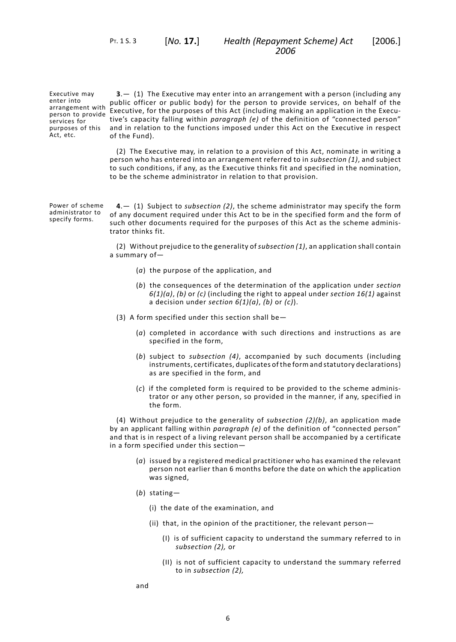Executive may enter into arrangement with person to provide services for purposes of this Act, etc.

<span id="page-9-0"></span>**3**.— (1) The Executive may enter into an arrangement with a person (including any public officer or public body) for the person to provide services, on behalf of the Executive, for the purposes of this Act (including making an application in the Executive's capacity falling within *paragraph (e)* of the definition of "connected person" and in relation to the functions imposed under this Act on the Executive in respect of the Fund).

<span id="page-9-1"></span>(2) The Executive may, in relation to a provision of this Act, nominate in writing a person who has entered into an arrangement referred to in *subsection (1)*, and subject to such conditions, if any, as the Executive thinks fit and specified in the nomination, to be the scheme administrator in relation to that provision.

Power of scheme administrator to specify forms.

**4**.— (1) Subject to *subsection (2)*, the scheme administrator may specify the form of any document required under this Act to be in the specified form and the form of such other documents required for the purposes of this Act as the scheme administrator thinks fit.

(2) Without prejudice to the generality of *subsection (1)*, an application shall contain a summary of—

- (*a*) the purpose of the application, and
- (*b*) the consequences of the determination of the application under *section [6](#page-10-2)(1)(a)*, *(b)* or *(c)* (including the right to appeal under *section [16](#page-19-1)(1)* against a decision under *section [6](#page-10-2)(1)(a)*, *(b)* or *(c)*).
- (3) A form specified under this section shall be—
	- (*a*) completed in accordance with such directions and instructions as are specified in the form,
	- (*b*) subject to *subsection (4)*, accompanied by such documents (including instruments, certificates, duplicates of the form and statutory declarations) as are specified in the form, and
	- (*c*) if the completed form is required to be provided to the scheme administrator or any other person, so provided in the manner, if any, specified in the form.

(4) Without prejudice to the generality of *subsection (2)(b)*, an application made by an applicant falling within *paragraph (e)* of the definition of "connected person" and that is in respect of a living relevant person shall be accompanied by a certificate in a form specified under this section—

- (*a*) issued by a registered medical practitioner who has examined the relevant person not earlier than 6 months before the date on which the application was signed,
- (*b*) stating—
	- (i) the date of the examination, and
	- (ii) that, in the opinion of the practitioner, the relevant person—
		- (I) is of sufficient capacity to understand the summary referred to in *subsection (2),* or
		- (II) is not of sufficient capacity to understand the summary referred to in *subsection (2),*

and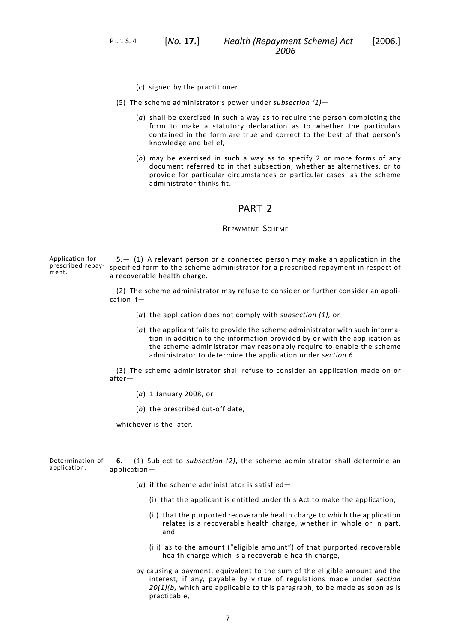*Health (Repayment Scheme) Act* [2006.] PT. 1 S. 4 [*No.* **17.**] *2006*

- (*c*) signed by the practitioner.
- <span id="page-10-0"></span>(5) The scheme administrator's power under *subsection (1)*—
	- (*a*) shall be exercised in such a way as to require the person completing the form to make a statutory declaration as to whether the particulars contained in the form are true and correct to the best of that person's knowledge and belief,
	- (*b*) may be exercised in such a way as to specify 2 or more forms of any document referred to in that subsection, whether as alternatives, or to provide for particular circumstances or particular cases, as the scheme administrator thinks fit.

# PART<sub>2</sub>

### REPAYMENT SCHEME

<span id="page-10-1"></span>Application for prescribed repay- specified form to the scheme administrator for a prescribed repayment in respect of ment. **5**.— (1) A relevant person or a connected person may make an application in the a recoverable health charge.

> (2) The scheme administrator may refuse to consider or further consider an application if—

- (*a*) the application does not comply with *subsection (1),* or
- (*b*) the applicant fails to provide the scheme administrator with such information in addition to the information provided by or with the application as the scheme administrator may reasonably require to enable the scheme administrator to determine the application under *section [6](#page-10-2)*.

(3) The scheme administrator shall refuse to consider an application made on or after—

- (*a*) 1 January 2008, or
- (*b*) the prescribed cut-off date,

<span id="page-10-2"></span>whichever is the later.

Determination of application. **6**.— (1) Subject to *subsection (2)*, the scheme administrator shall determine an application—

- (*a*) if the scheme administrator is satisfied—
	- (i) that the applicant is entitled under this Act to make the application,
	- (ii) that the purported recoverable health charge to which the application relates is a recoverable health charge, whether in whole or in part, and
	- (iii) as to the amount ("eligible amount") of that purported recoverable health charge which is a recoverable health charge,
- by causing a payment, equivalent to the sum of the eligible amount and the interest, if any, payable by virtue of regulations made under *section [20\(](#page-22-2)1)(b)* which are applicable to this paragraph, to be made as soon as is practicable,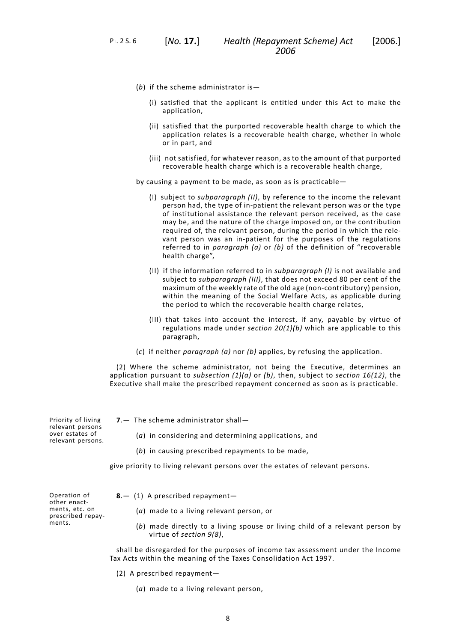- (*b*) if the scheme administrator is—
	- (i) satisfied that the applicant is entitled under this Act to make the application,
	- (ii) satisfied that the purported recoverable health charge to which the application relates is a recoverable health charge, whether in whole or in part, and
	- (iii) not satisfied, for whatever reason, as to the amount of that purported recoverable health charge which is a recoverable health charge,

by causing a payment to be made, as soon as is practicable—

- (I) subject to *subparagraph (II)*, by reference to the income the relevant person had, the type of in-patient the relevant person was or the type of institutional assistance the relevant person received, as the case may be, and the nature of the charge imposed on, or the contribution required of, the relevant person, during the period in which the relevant person was an in-patient for the purposes of the regulations referred to in *paragraph (a)* or *(b)* of the definition of "recoverable health charge",
- (II) if the information referred to in *subparagraph (I)* is not available and subject to *subparagraph (III)*, that does not exceed 80 per cent of the maximum of the weekly rate of the old age (non-contributory) pension, within the meaning of the Social Welfare Acts, as applicable during the period to which the recoverable health charge relates,
- (III) that takes into account the interest, if any, payable by virtue of regulations made under *section [20](#page-22-2)(1)(b)* which are applicable to this paragraph,
- (*c*) if neither *paragraph (a)* nor *(b)* applies, by refusing the application.

<span id="page-11-0"></span>(2) Where the scheme administrator, not being the Executive, determines an application pursuant to *subsection (1)(a)* or *(b)*, then, subject to *section [16\(](#page-19-1)12)*, the Executive shall make the prescribed repayment concerned as soon as is practicable.

<span id="page-11-1"></span>**7**.— The scheme administrator shall—

- (*a*) in considering and determining applications, and
- (*b*) in causing prescribed repayments to be made,

give priority to living relevant persons over the estates of relevant persons.

Operation of other enactments, etc. on prescribed repay-

ments.

Priority of living relevant persons over estates of relevant persons.

- **8**.— (1) A prescribed repayment—
	- (*a*) made to a living relevant person, or
	- (*b*) made directly to a living spouse or living child of a relevant person by virtue of *section [9](#page-12-0)(8)*,

shall be disregarded for the purposes of income tax assessment under the Income Tax Acts within the meaning of the Taxes Consolidation Act 1997.

- (2) A prescribed repayment—
	- (*a*) made to a living relevant person,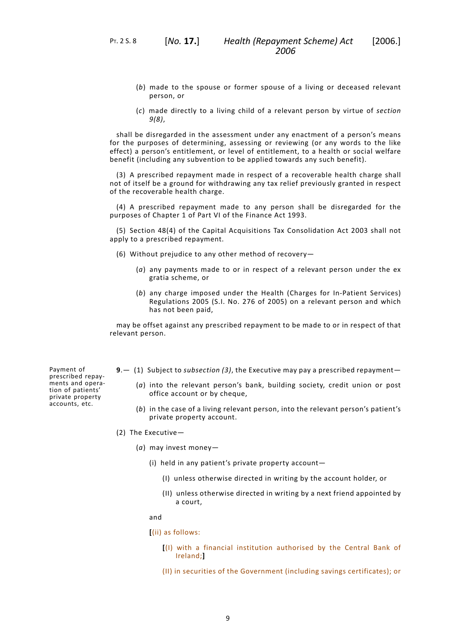- (*b*) made to the spouse or former spouse of a living or deceased relevant person, or
- (*c*) made directly to a living child of a relevant person by virtue of *section [9](#page-12-0)(8)*,

shall be disregarded in the assessment under any enactment of a person's means for the purposes of determining, assessing or reviewing (or any words to the like effect) a person's entitlement, or level of entitlement, to a health or social welfare benefit (including any subvention to be applied towards any such benefit).

(3) A prescribed repayment made in respect of a recoverable health charge shall not of itself be a ground for withdrawing any tax relief previously granted in respect of the recoverable health charge.

(4) A prescribed repayment made to any person shall be disregarded for the purposes of Chapter 1 of Part VI of the Finance Act 1993.

(5) Section 48(4) of the Capital Acquisitions Tax Consolidation Act 2003 shall not apply to a prescribed repayment.

- (6) Without prejudice to any other method of recovery—
	- (*a*) any payments made to or in respect of a relevant person under the ex gratia scheme, or
	- (*b*) any charge imposed under the Health (Charges for In-Patient Services) Regulations 2005 (S.I. No. 276 of 2005) on a relevant person and which has not been paid,

<span id="page-12-0"></span>may be offset against any prescribed repayment to be made to or in respect of that relevant person.

- Payment of prescribed repayments and operation of patients' private property accounts, etc.
- **9**.— (1) Subject to *subsection (3)*, the Executive may pay a prescribed repayment—
	- (*a*) into the relevant person's bank, building society, credit union or post office account or by cheque,
	- (*b*) in the case of a living relevant person, into the relevant person's patient's private property account.
- (2) The Executive—
	- (*a*) may invest money—
		- (i) held in any patient's private property account—
			- (I) unless otherwise directed in writing by the account holder, or
			- (II) unless otherwise directed in writing by a next friend appointed by a court,

and

- **[**(ii) as follows:
	- **[**(I) with a financial institution authorised by the Central Bank of Ireland;**]**
	- (II) in securities of the Government (including savings certificates); or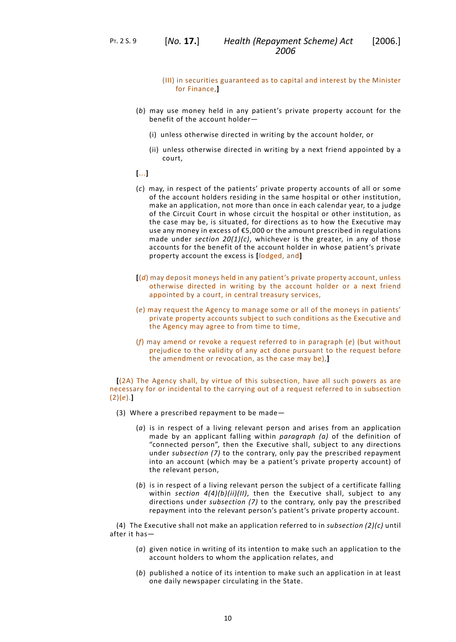- (III) in securities guaranteed as to capital and interest by the Minister for Finance,**]**
- (*b*) may use money held in any patient's private property account for the benefit of the account holder—
	- (i) unless otherwise directed in writing by the account holder, or
	- (ii) unless otherwise directed in writing by a next friend appointed by a court,
- **[**...**]**
- (*c*) may, in respect of the patients' private property accounts of all or some of the account holders residing in the same hospital or other institution, make an application, not more than once in each calendar year, to a judge of the Circuit Court in whose circuit the hospital or other institution, as the case may be, is situated, for directions as to how the Executive may use any money in excess of €5,000 or the amount prescribed in regulations made under *section [20](#page-22-2)(1)(c)*, whichever is the greater, in any of those accounts for the benefit of the account holder in whose patient's private property account the excess is **[**lodged, and**]**
- **[**(*d*) may deposit moneys held in any patient's private property account, unless otherwise directed in writing by the account holder or a next friend appointed by a court, in central treasury services,
- (*e*) may request the Agency to manage some or all of the moneys in patients' private property accounts subject to such conditions as the Executive and the Agency may agree to from time to time,
- (*f*) may amend or revoke a request referred to in paragraph (*e*) (but without prejudice to the validity of any act done pursuant to the request before the amendment or revocation, as the case may be),**]**

**[**(2A) The Agency shall, by virtue of this subsection, have all such powers as are necessary for or incidental to the carrying out of a request referred to in subsection (2)(*e*).**]**

- (3) Where a prescribed repayment to be made—
	- (*a*) is in respect of a living relevant person and arises from an application made by an applicant falling within *paragraph (a)* of the definition of "connected person", then the Executive shall, subject to any directions under *subsection (7)* to the contrary, only pay the prescribed repayment into an account (which may be a patient's private property account) of the relevant person,
	- (*b*) is in respect of a living relevant person the subject of a certificate falling within *section [4](#page-9-1)(4)(b)(ii)(II)*, then the Executive shall, subject to any directions under *subsection (7)* to the contrary, only pay the prescribed repayment into the relevant person's patient's private property account.

(4) The Executive shall not make an application referred to in *subsection (2)(c)* until after it has—

- (*a*) given notice in writing of its intention to make such an application to the account holders to whom the application relates, and
- (*b*) published a notice of its intention to make such an application in at least one daily newspaper circulating in the State.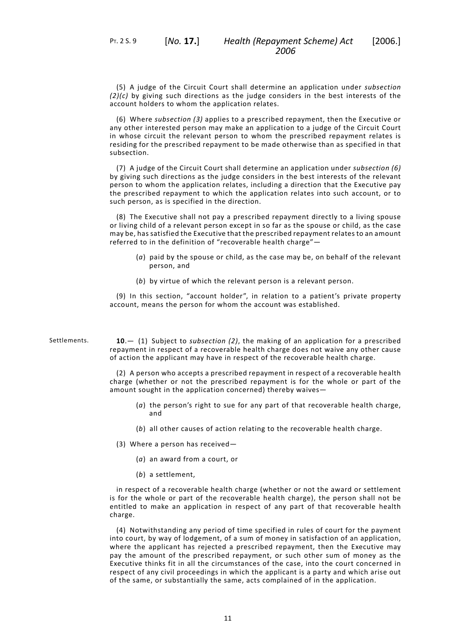(5) A judge of the Circuit Court shall determine an application under *subsection (2)(c)* by giving such directions as the judge considers in the best interests of the account holders to whom the application relates.

(6) Where *subsection (3)* applies to a prescribed repayment, then the Executive or any other interested person may make an application to a judge of the Circuit Court in whose circuit the relevant person to whom the prescribed repayment relates is residing for the prescribed repayment to be made otherwise than as specified in that subsection.

(7) A judge of the Circuit Court shall determine an application under *subsection (6)* by giving such directions as the judge considers in the best interests of the relevant person to whom the application relates, including a direction that the Executive pay the prescribed repayment to which the application relates into such account, or to such person, as is specified in the direction.

(8) The Executive shall not pay a prescribed repayment directly to a living spouse or living child of a relevant person except in so far as the spouse or child, as the case may be, has satisfied the Executive that the prescribed repayment relates to an amount referred to in the definition of "recoverable health charge"—

- (*a*) paid by the spouse or child, as the case may be, on behalf of the relevant person, and
- (*b*) by virtue of which the relevant person is a relevant person.

<span id="page-14-0"></span>(9) In this section, "account holder", in relation to a patient's private property account, means the person for whom the account was established.

Settlements. **10**.— (1) Subject to *subsection (2)*, the making of an application for a prescribed repayment in respect of a recoverable health charge does not waive any other cause of action the applicant may have in respect of the recoverable health charge.

> (2) A person who accepts a prescribed repayment in respect of a recoverable health charge (whether or not the prescribed repayment is for the whole or part of the amount sought in the application concerned) thereby waives—

- (*a*) the person's right to sue for any part of that recoverable health charge, and
- (*b*) all other causes of action relating to the recoverable health charge.
- (3) Where a person has received—
	- (*a*) an award from a court, or
	- (*b*) a settlement,

in respect of a recoverable health charge (whether or not the award or settlement is for the whole or part of the recoverable health charge), the person shall not be entitled to make an application in respect of any part of that recoverable health charge.

(4) Notwithstanding any period of time specified in rules of court for the payment into court, by way of lodgement, of a sum of money in satisfaction of an application, where the applicant has rejected a prescribed repayment, then the Executive may pay the amount of the prescribed repayment, or such other sum of money as the Executive thinks fit in all the circumstances of the case, into the court concerned in respect of any civil proceedings in which the applicant is a party and which arise out of the same, or substantially the same, acts complained of in the application.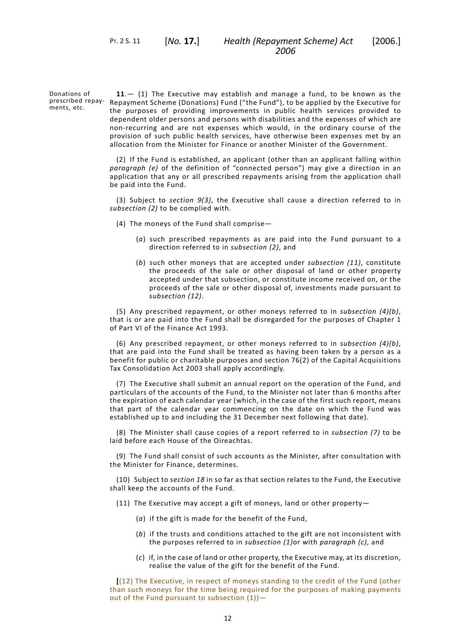Donations of prescribed repayments, etc. **11**.— (1) The Executive may establish and manage a fund, to be known as the Repayment Scheme (Donations) Fund ("the Fund"), to be applied by the Executive for the purposes of providing improvements in public health services provided to dependent older persons and persons with disabilities and the expenses of which are

<span id="page-15-0"></span>non-recurring and are not expenses which would, in the ordinary course of the provision of such public health services, have otherwise been expenses met by an allocation from the Minister for Finance or another Minister of the Government.

(2) If the Fund is established, an applicant (other than an applicant falling within *paragraph (e)* of the definition of "connected person") may give a direction in an application that any or all prescribed repayments arising from the application shall be paid into the Fund.

(3) Subject to *section [9](#page-12-0)(3)*, the Executive shall cause a direction referred to in *subsection (2)* to be complied with.

- (4) The moneys of the Fund shall comprise—
	- (*a*) such prescribed repayments as are paid into the Fund pursuant to a direction referred to in *subsection (2)*, and
	- (*b*) such other moneys that are accepted under *subsection (11)*, constitute the proceeds of the sale or other disposal of land or other property accepted under that subsection, or constitute income received on, or the proceeds of the sale or other disposal of, investments made pursuant to *subsection (12)*.

(5) Any prescribed repayment, or other moneys referred to in *subsection (4)(b)*, that is or are paid into the Fund shall be disregarded for the purposes of Chapter 1 of Part VI of the Finance Act 1993.

(6) Any prescribed repayment, or other moneys referred to in *subsection (4)(b)*, that are paid into the Fund shall be treated as having been taken by a person as a benefit for public or charitable purposes and section 76(2) of the Capital Acquisitions Tax Consolidation Act 2003 shall apply accordingly.

(7) The Executive shall submit an annual report on the operation of the Fund, and particulars of the accounts of the Fund, to the Minister not later than 6 months after the expiration of each calendar year (which, in the case of the first such report, means that part of the calendar year commencing on the date on which the Fund was established up to and including the 31 December next following that date).

(8) The Minister shall cause copies of a report referred to in *subsection (7)* to be laid before each House of the Oireachtas.

(9) The Fund shall consist of such accounts as the Minister, after consultation with the Minister for Finance, determines.

(10) Subject to *section [18](#page-21-1)* in so far as that section relates to the Fund, the Executive shall keep the accounts of the Fund.

- (11) The Executive may accept a gift of moneys, land or other property—
	- (*a*) if the gift is made for the benefit of the Fund,
	- (*b*) if the trusts and conditions attached to the gift are not inconsistent with the purposes referred to in *subsection (1)*or with *paragraph (c)*, and
	- (*c*) if, in the case of land or other property, the Executive may, at its discretion, realise the value of the gift for the benefit of the Fund.

**[**(12) The Executive, in respect of moneys standing to the credit of the Fund (other than such moneys for the time being required for the purposes of making payments out of the Fund pursuant to subsection  $(1)$ ) –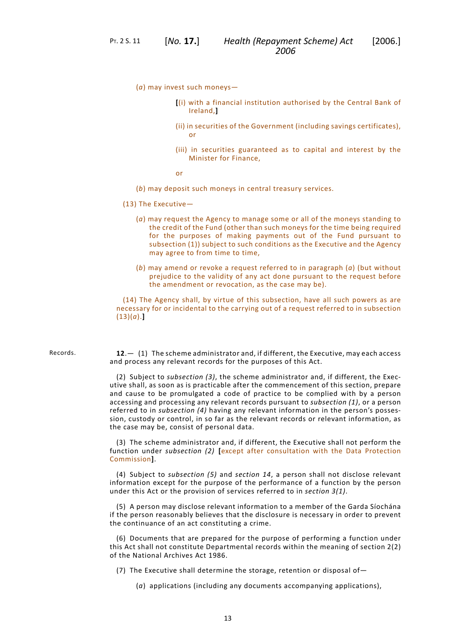- (*a*) may invest such moneys—
	- **[**(i) with a financial institution authorised by the Central Bank of Ireland,**]**
	- (ii) in securities of the Government (including savings certificates), or
	- (iii) in securities guaranteed as to capital and interest by the Minister for Finance,

or

(*b*) may deposit such moneys in central treasury services.

- (13) The Executive—
	- (*a*) may request the Agency to manage some or all of the moneys standing to the credit of the Fund (other than such moneys for the time being required for the purposes of making payments out of the Fund pursuant to subsection (1)) subject to such conditions as the Executive and the Agency may agree to from time to time,
	- (*b*) may amend or revoke a request referred to in paragraph (*a*) (but without prejudice to the validity of any act done pursuant to the request before the amendment or revocation, as the case may be).

<span id="page-16-0"></span>(14) The Agency shall, by virtue of this subsection, have all such powers as are necessary for or incidental to the carrying out of a request referred to in subsection (13)(*a*).**]**

Records. **12**.— (1) The scheme administrator and, if different, the Executive, may each access and process any relevant records for the purposes of this Act.

> (2) Subject to *subsection (3)*, the scheme administrator and, if different, the Executive shall, as soon as is practicable after the commencement of this section, prepare and cause to be promulgated a code of practice to be complied with by a person accessing and processing any relevant records pursuant to *subsection (1)*, or a person referred to in *subsection (4)* having any relevant information in the person's possession, custody or control, in so far as the relevant records or relevant information, as the case may be, consist of personal data.

> (3) The scheme administrator and, if different, the Executive shall not perform the function under *subsection (2)* **[**except after consultation with the Data Protection Commission**]**.

> (4) Subject to *subsection (5)* and *section [14](#page-18-0)*, a person shall not disclose relevant information except for the purpose of the performance of a function by the person under this Act or the provision of services referred to in *section [3\(](#page-9-0)1)*.

> (5) A person may disclose relevant information to a member of the Garda Síochána if the person reasonably believes that the disclosure is necessary in order to prevent the continuance of an act constituting a crime.

> (6) Documents that are prepared for the purpose of performing a function under this Act shall not constitute Departmental records within the meaning of section 2(2) of the National Archives Act 1986.

(7) The Executive shall determine the storage, retention or disposal of—

(*a*) applications (including any documents accompanying applications),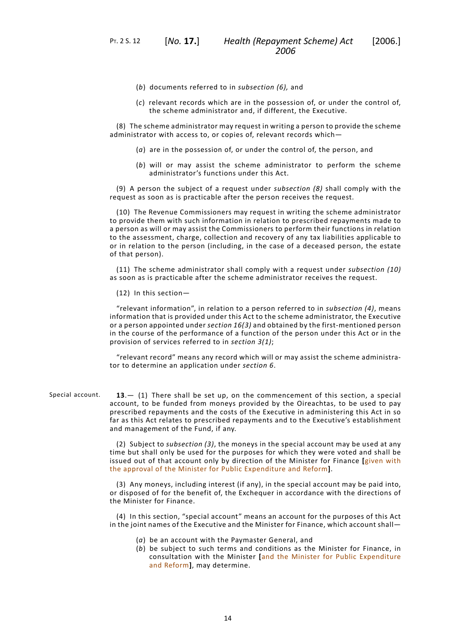- (*b*) documents referred to in *subsection (6),* and
- (*c*) relevant records which are in the possession of, or under the control of, the scheme administrator and, if different, the Executive.

(8) The scheme administrator may request in writing a person to provide the scheme administrator with access to, or copies of, relevant records which—

- (*a*) are in the possession of, or under the control of, the person, and
- (*b*) will or may assist the scheme administrator to perform the scheme administrator's functions under this Act.

(9) A person the subject of a request under *subsection (8)* shall comply with the request as soon as is practicable after the person receives the request.

(10) The Revenue Commissioners may request in writing the scheme administrator to provide them with such information in relation to prescribed repayments made to a person as will or may assist the Commissioners to perform their functions in relation to the assessment, charge, collection and recovery of any tax liabilities applicable to or in relation to the person (including, in the case of a deceased person, the estate of that person).

(11) The scheme administrator shall comply with a request under *subsection (10)* as soon as is practicable after the scheme administrator receives the request.

(12) In this section—

"relevant information", in relation to a person referred to in *subsection (4)*, means information that is provided under this Act to the scheme administrator, the Executive or a person appointed under *section [16](#page-19-1)(3)* and obtained by the first-mentioned person in the course of the performance of a function of the person under this Act or in the provision of services referred to in *section [3\(](#page-9-0)1)*;

<span id="page-17-0"></span>"relevant record" means any record which will or may assist the scheme administrator to determine an application under *section [6](#page-10-2)*.

Special account. **13**.— (1) There shall be set up, on the commencement of this section, a special account, to be funded from moneys provided by the Oireachtas, to be used to pay prescribed repayments and the costs of the Executive in administering this Act in so far as this Act relates to prescribed repayments and to the Executive's establishment and management of the Fund, if any.

> (2) Subject to *subsection (3)*, the moneys in the special account may be used at any time but shall only be used for the purposes for which they were voted and shall be issued out of that account only by direction of the Minister for Finance **[**given with the approval of the Minister for Public Expenditure and Reform**]**.

> (3) Any moneys, including interest (if any), in the special account may be paid into, or disposed of for the benefit of, the Exchequer in accordance with the directions of the Minister for Finance.

> (4) In this section, "special account" means an account for the purposes of this Act in the joint names of the Executive and the Minister for Finance, which account shall—

- (*a*) be an account with the Paymaster General, and
- (*b*) be subject to such terms and conditions as the Minister for Finance, in consultation with the Minister **[**and the Minister for Public Expenditure and Reform**]**, may determine.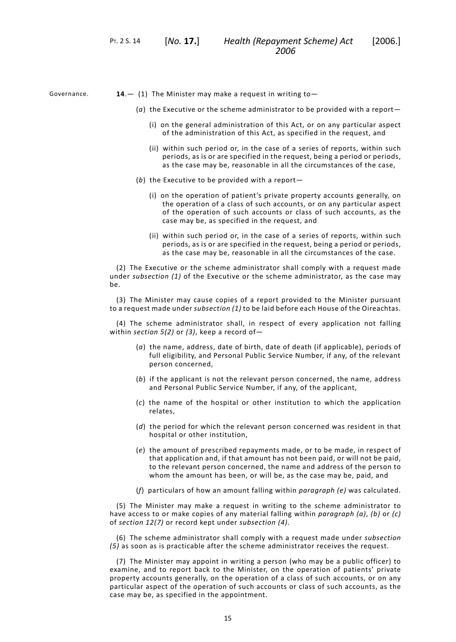<span id="page-18-0"></span>

- Governance. **14.**  $-$  (1) The Minister may make a request in writing to  $-$ 
	- (*a*) the Executive or the scheme administrator to be provided with a report—
		- (i) on the general administration of this Act, or on any particular aspect of the administration of this Act, as specified in the request, and
		- (ii) within such period or, in the case of a series of reports, within such periods, as is or are specified in the request, being a period or periods, as the case may be, reasonable in all the circumstances of the case,
	- (*b*) the Executive to be provided with a report—
		- (i) on the operation of patient's private property accounts generally, on the operation of a class of such accounts, or on any particular aspect of the operation of such accounts or class of such accounts, as the case may be, as specified in the request, and
		- (ii) within such period or, in the case of a series of reports, within such periods, as is or are specified in the request, being a period or periods, as the case may be, reasonable in all the circumstances of the case.

(2) The Executive or the scheme administrator shall comply with a request made under *subsection (1)* of the Executive or the scheme administrator, as the case may be.

(3) The Minister may cause copies of a report provided to the Minister pursuant to a request made under *subsection (1)* to be laid before each House of the Oireachtas.

(4) The scheme administrator shall, in respect of every application not falling within *section [5\(](#page-10-1)2)* or *(3)*, keep a record of—

- (*a*) the name, address, date of birth, date of death (if applicable), periods of full eligibility, and Personal Public Service Number, if any, of the relevant person concerned,
- (*b*) if the applicant is not the relevant person concerned, the name, address and Personal Public Service Number, if any, of the applicant,
- (*c*) the name of the hospital or other institution to which the application relates,
- (*d*) the period for which the relevant person concerned was resident in that hospital or other institution,
- (*e*) the amount of prescribed repayments made, or to be made, in respect of that application and, if that amount has not been paid, or will not be paid, to the relevant person concerned, the name and address of the person to whom the amount has been, or will be, as the case may be, paid, and
- (*f*) particulars of how an amount falling within *paragraph (e)* was calculated.

(5) The Minister may make a request in writing to the scheme administrator to have access to or make copies of any material falling within *paragraph (a)*, *(b)* or *(c)* of *section [12](#page-16-0)(7)* or record kept under *subsection (4)*.

(6) The scheme administrator shall comply with a request made under *subsection (5)* as soon as is practicable after the scheme administrator receives the request.

(7) The Minister may appoint in writing a person (who may be a public officer) to examine, and to report back to the Minister, on the operation of patients' private property accounts generally, on the operation of a class of such accounts, or on any particular aspect of the operation of such accounts or class of such accounts, as the case may be, as specified in the appointment.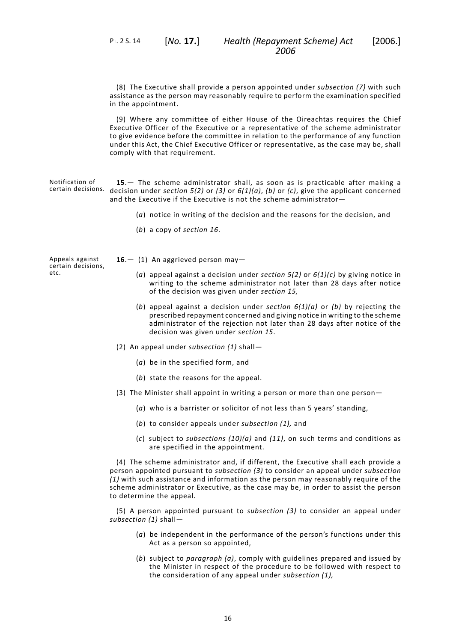(8) The Executive shall provide a person appointed under *subsection (7)* with such assistance as the person may reasonably require to perform the examination specified in the appointment.

<span id="page-19-0"></span>(9) Where any committee of either House of the Oireachtas requires the Chief Executive Officer of the Executive or a representative of the scheme administrator to give evidence before the committee in relation to the performance of any function under this Act, the Chief Executive Officer or representative, as the case may be, shall comply with that requirement.

Notification of certain decisions. decision under section [5\(](#page-10-1)2) or (3) or [6](#page-10-2)(1)(a), (b) or (c), give the applicant concerned **15**.— The scheme administrator shall, as soon as is practicable after making a and the Executive if the Executive is not the scheme administrator—

- <span id="page-19-1"></span>(*a*) notice in writing of the decision and the reasons for the decision, and
- (*b*) a copy of *section [16](#page-19-1)*.

Appeals against certain decisions, etc.

16.— (1) An aggrieved person may-

- (*a*) appeal against a decision under *section [5\(](#page-10-1)2)* or *[6](#page-10-2)(1)(c)* by giving notice in writing to the scheme administrator not later than 28 days after notice of the decision was given under *section [15](#page-19-0),*
- (*b*) appeal against a decision under *section [6](#page-10-2)(1)(a)* or *(b)* by rejecting the prescribed repayment concerned and giving notice in writing to the scheme administrator of the rejection not later than 28 days after notice of the decision was given under *section [15](#page-19-0)*.
- (2) An appeal under *subsection (1)* shall—
	- (*a*) be in the specified form, and
	- (*b*) state the reasons for the appeal.
- (3) The Minister shall appoint in writing a person or more than one person—
	- (*a*) who is a barrister or solicitor of not less than 5 years' standing,
	- (*b*) to consider appeals under *subsection (1),* and
	- (*c*) subject to *subsections (10)(a)* and *(11)*, on such terms and conditions as are specified in the appointment.

(4) The scheme administrator and, if different, the Executive shall each provide a person appointed pursuant to *subsection (3)* to consider an appeal under *subsection (1)* with such assistance and information as the person may reasonably require of the scheme administrator or Executive, as the case may be, in order to assist the person to determine the appeal.

(5) A person appointed pursuant to *subsection (3)* to consider an appeal under *subsection (1)* shall—

- (*a*) be independent in the performance of the person's functions under this Act as a person so appointed,
- (*b*) subject to *paragraph (a)*, comply with guidelines prepared and issued by the Minister in respect of the procedure to be followed with respect to the consideration of any appeal under *subsection (1),*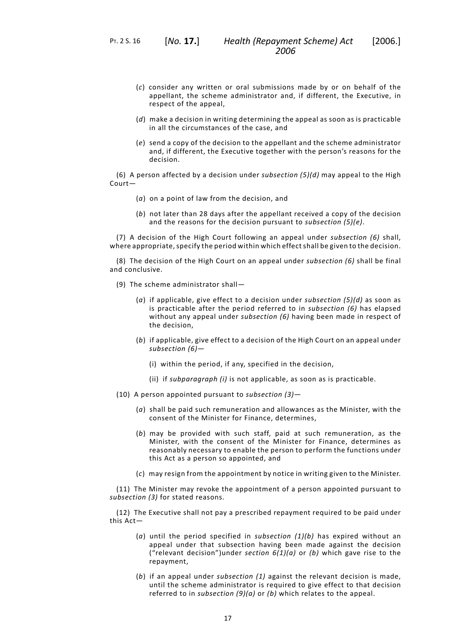- (*c*) consider any written or oral submissions made by or on behalf of the appellant, the scheme administrator and, if different, the Executive, in respect of the appeal,
- (*d*) make a decision in writing determining the appeal as soon as is practicable in all the circumstances of the case, and
- (*e*) send a copy of the decision to the appellant and the scheme administrator and, if different, the Executive together with the person's reasons for the decision.

(6) A person affected by a decision under *subsection (5)(d)* may appeal to the High Court—

- (*a*) on a point of law from the decision, and
- (*b*) not later than 28 days after the appellant received a copy of the decision and the reasons for the decision pursuant to *subsection (5)(e)*.

(7) A decision of the High Court following an appeal under *subsection (6)* shall, where appropriate, specify the period within which effect shall be given to the decision.

(8) The decision of the High Court on an appeal under *subsection (6)* shall be final and conclusive.

- (9) The scheme administrator shall—
	- (*a*) if applicable, give effect to a decision under *subsection (5)(d)* as soon as is practicable after the period referred to in *subsection (6)* has elapsed without any appeal under *subsection (6)* having been made in respect of the decision,
	- (*b*) if applicable, give effect to a decision of the High Court on an appeal under *subsection (6)*—
		- (i) within the period, if any, specified in the decision,
		- (ii) if *subparagraph (i)* is not applicable, as soon as is practicable.
- (10) A person appointed pursuant to *subsection (3)*
	- (*a*) shall be paid such remuneration and allowances as the Minister, with the consent of the Minister for Finance, determines,
	- (*b*) may be provided with such staff, paid at such remuneration, as the Minister, with the consent of the Minister for Finance, determines as reasonably necessary to enable the person to perform the functions under this Act as a person so appointed, and
	- (*c*) may resign from the appointment by notice in writing given to the Minister.

(11) The Minister may revoke the appointment of a person appointed pursuant to *subsection (3)* for stated reasons.

(12) The Executive shall not pay a prescribed repayment required to be paid under this Act—

- (*a*) until the period specified in *subsection (1)(b)* has expired without an appeal under that subsection having been made against the decision ("relevant decision")under *section [6\(](#page-10-2)1)(a)* or *(b)* which gave rise to the repayment,
- (*b*) if an appeal under *subsection (1)* against the relevant decision is made, until the scheme administrator is required to give effect to that decision referred to in *subsection (9)(a)* or *(b)* which relates to the appeal.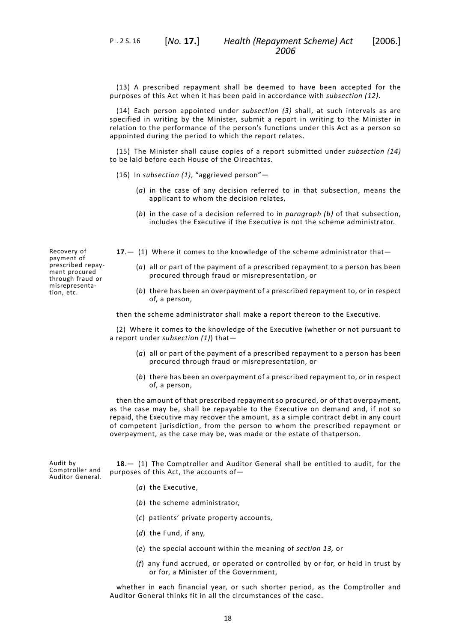(13) A prescribed repayment shall be deemed to have been accepted for the purposes of this Act when it has been paid in accordance with *subsection (12)*.

(14) Each person appointed under *subsection (3)* shall, at such intervals as are specified in writing by the Minister, submit a report in writing to the Minister in relation to the performance of the person's functions under this Act as a person so appointed during the period to which the report relates.

(15) The Minister shall cause copies of a report submitted under *subsection (14)* to be laid before each House of the Oireachtas.

- (16) In *subsection (1)*, "aggrieved person"—
	- (*a*) in the case of any decision referred to in that subsection, means the applicant to whom the decision relates,
	- (*b*) in the case of a decision referred to in *paragraph (b)* of that subsection, includes the Executive if the Executive is not the scheme administrator.
- <span id="page-21-0"></span>**17**.— (1) Where it comes to the knowledge of the scheme administrator that—

(*a*) all or part of the payment of a prescribed repayment to a person has been procured through fraud or misrepresentation, or

(*b*) there has been an overpayment of a prescribed repayment to, or in respect of, a person,

then the scheme administrator shall make a report thereon to the Executive.

(2) Where it comes to the knowledge of the Executive (whether or not pursuant to a report under *subsection (1)*) that—

- (*a*) all or part of the payment of a prescribed repayment to a person has been procured through fraud or misrepresentation, or
- (*b*) there has been an overpayment of a prescribed repayment to, or in respect of, a person,

<span id="page-21-1"></span>then the amount of that prescribed repayment so procured, or of that overpayment, as the case may be, shall be repayable to the Executive on demand and, if not so repaid, the Executive may recover the amount, as a simple contract debt in any court of competent jurisdiction, from the person to whom the prescribed repayment or overpayment, as the case may be, was made or the estate of thatperson.

Audit by Comptroller and Auditor General. **18**.— (1) The Comptroller and Auditor General shall be entitled to audit, for the purposes of this Act, the accounts of—

- (*a*) the Executive,
- (*b*) the scheme administrator,
- (*c*) patients' private property accounts,
- (*d*) the Fund, if any,
- (*e*) the special account within the meaning of *section [13,](#page-17-0)* or
- (*f*) any fund accrued, or operated or controlled by or for, or held in trust by or for, a Minister of the Government,

whether in each financial year, or such shorter period, as the Comptroller and Auditor General thinks fit in all the circumstances of the case.

Recovery of payment of prescribed repayment procured through fraud or misrepresentation, etc.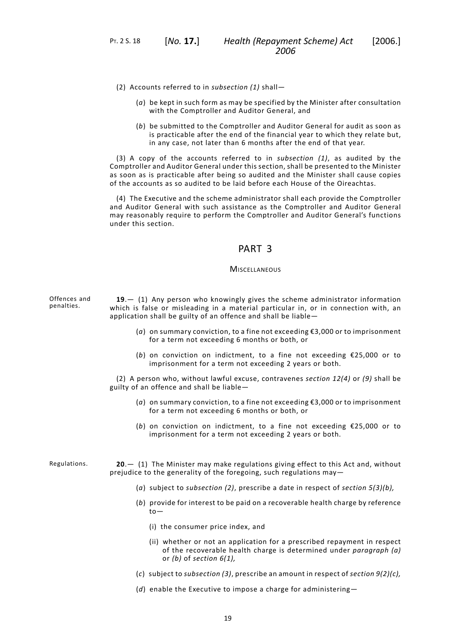- (2) Accounts referred to in *subsection (1)* shall—
	- (*a*) be kept in such form as may be specified by the Minister after consultation with the Comptroller and Auditor General, and
	- (*b*) be submitted to the Comptroller and Auditor General for audit as soon as is practicable after the end of the financial year to which they relate but, in any case, not later than 6 months after the end of that year.

(3) A copy of the accounts referred to in *subsection (1)*, as audited by the Comptroller and Auditor General under this section, shall be presented to the Minister as soon as is practicable after being so audited and the Minister shall cause copies of the accounts as so audited to be laid before each House of the Oireachtas.

<span id="page-22-1"></span><span id="page-22-0"></span>(4) The Executive and the scheme administrator shall each provide the Comptroller and Auditor General with such assistance as the Comptroller and Auditor General may reasonably require to perform the Comptroller and Auditor General's functions under this section.

# PART 3

### **MISCELLANEOUS**

Offences and penalties. **19**.— (1) Any person who knowingly gives the scheme administrator information which is false or misleading in a material particular in, or in connection with, an application shall be guilty of an offence and shall be liable—

- (*a*) on summary conviction, to a fine not exceeding €3,000 or to imprisonment for a term not exceeding 6 months or both, or
- (*b*) on conviction on indictment, to a fine not exceeding €25,000 or to imprisonment for a term not exceeding 2 years or both.

<span id="page-22-2"></span>(2) A person who, without lawful excuse, contravenes *section [12](#page-16-0)(4)* or *(9)* shall be guilty of an offence and shall be liable—

- (*a*) on summary conviction, to a fine not exceeding €3,000 or to imprisonment for a term not exceeding 6 months or both, or
- (*b*) on conviction on indictment, to a fine not exceeding €25,000 or to imprisonment for a term not exceeding 2 years or both.
- Regulations. **20**.— (1) The Minister may make regulations giving effect to this Act and, without prejudice to the generality of the foregoing, such regulations may—
	- (*a*) subject to *subsection (2)*, prescribe a date in respect of *section [5](#page-10-1)(3)(b),*
	- (*b*) provide for interest to be paid on a recoverable health charge by reference to—
		- (i) the consumer price index, and
		- (ii) whether or not an application for a prescribed repayment in respect of the recoverable health charge is determined under *paragraph (a)* or *(b)* of *section [6\(](#page-10-2)1),*
	- (*c*) subject to *subsection (3)*, prescribe an amount in respect of *section [9\(](#page-12-0)2)(c),*
	- (*d*) enable the Executive to impose a charge for administering—